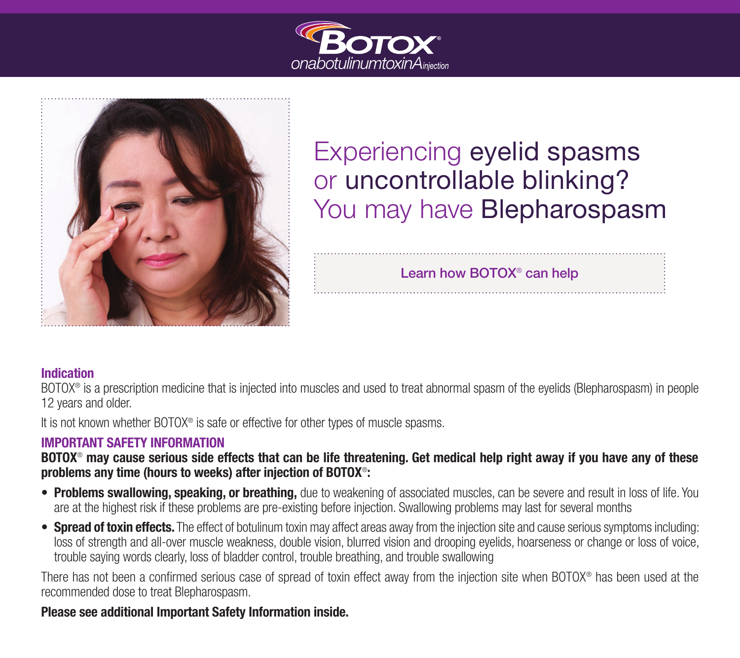



# Experiencing eyelid spasms or uncontrollable blinking? You may have **Blepharospasm**

Learn how BOTOX® can help

## Indication

BOTOX® is a prescription medicine that is injected into muscles and used to treat abnormal spasm of the eyelids (Blepharospasm) in people 12 years and older.

It is not known whether BOTOX<sup>®</sup> is safe or effective for other types of muscle spasms.

## IMPORTANT SAFETY INFORMATION

BOTOX<sup>®</sup> may cause serious side effects that can be life threatening. Get medical help right away if you have any of these problems any time (hours to weeks) after injection of BOTOX®:

- Problems swallowing, speaking, or breathing, due to weakening of associated muscles, can be severe and result in loss of life. You are at the highest risk if these problems are pre-existing before injection. Swallowing problems may last for several months
- Spread of toxin effects. The effect of botulinum toxin may affect areas away from the injection site and cause serious symptoms including: loss of strength and all-over muscle weakness, double vision, blurred vision and drooping eyelids, hoarseness or change or loss of voice, trouble saying words clearly, loss of bladder control, trouble breathing, and trouble swallowing

There has not been a confirmed serious case of spread of toxin effect away from the injection site when BOTOX® has been used at the recommended dose to treat Blepharospasm.

## Please see additional Important Safety Information inside.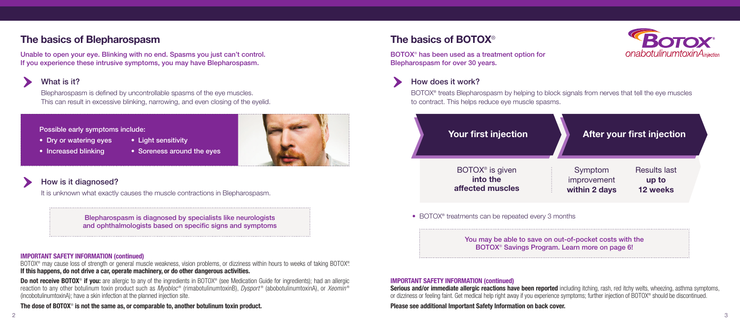# The basics of BOTOX®

BOTOX® has been used as a treatment option for Blepharospasm for over 30 years.

# How does it work?

BOTOX® treats Blepharospasm by helping to block signals from nerves that tell the eye muscles to contract. This helps reduce eye muscle spasms.

BOTOX<sup>®</sup> may cause loss of strength or general muscle weakness, vision problems, or dizziness within hours to weeks of taking BOTOX®. If this happens, do not drive a car, operate machinery, or do other dangerous activities.

## IMPORTANT SAFETY INFORMATION (continued)

Do not receive BOTOX<sup>®</sup> if you: are allergic to any of the ingredients in BOTOX<sup>®</sup> (see Medication Guide for ingredients); had an allergic reaction to any other botulinum toxin product such as *Myobloc*<sup>®</sup> (rimabotulinumtoxinB), *Dysport*<sup>®</sup> (abobotulinumtoxinA), or *Xeomin*<sup>®</sup> (incobotulinumtoxinA); have a skin infection at the planned injection site.

The dose of BOTOX<sup>®</sup> is not the same as, or comparable to, another botulinum toxin product.

IMPORTANT SAFETY INFORMATION (continued) Serious and/or immediate allergic reactions have been reported including itching, rash, red itchy welts, wheezing, asthma symptoms, or dizziness or feeling faint. Get medical help right away if you experience symptoms; further injection of BOTOX® should be discontinued. Please see additional Important Safety Information on back cover.





# How is it diagnosed?

It is unknown what exactly causes the muscle contractions in Blepharospasm.

## Possible early symptoms include:

- Dry or watering eyes Light sensitivity
- 
- 
- Increased blinking Soreness around the eyes

Blepharospasm is diagnosed by specialists like neurologists and ophthalmologists based on specific signs and symptoms

BOTOX® is given into the affected muscles

• BOTOX<sup>®</sup> treatments can be repeated every 3 months



Your first injection

# The basics of Blepharospasm

Unable to open your eye. Blinking with no end. Spasms you just can't control. If you experience these intrusive symptoms, you may have Blepharospasm.

# What is it?

Blepharospasm is defined by uncontrollable spasms of the eye muscles. This can result in excessive blinking, narrowing, and even closing of the eyelid.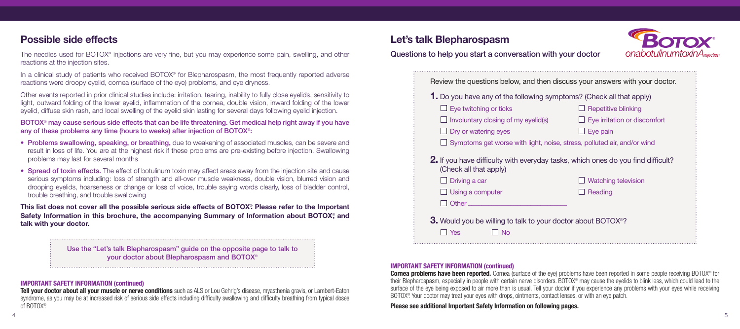# Let's talk Blepharospasm

# Questions to help you start a conversation with your doctor

# Possible side effects

The needles used for BOTOX® injections are very fine, but you may experience some pain, swelling, and other reactions at the injection sites.

In a clinical study of patients who received BOTOX<sup>®</sup> for Blepharospasm, the most frequently reported adverse reactions were droopy eyelid, cornea (surface of the eye) problems, and eye dryness.

Other events reported in prior clinical studies include: irritation, tearing, inability to fully close eyelids, sensitivity to light, outward folding of the lower eyelid, inflammation of the cornea, double vision, inward folding of the lower eyelid, diffuse skin rash, and local swelling of the eyelid skin lasting for several days following eyelid injection.

- Problems swallowing, speaking, or breathing, due to weakening of associated muscles, can be severe and result in loss of life. You are at the highest risk if these problems are pre-existing before injection. Swallowing problems may last for several months
- Spread of toxin effects. The effect of botulinum toxin may affect areas away from the injection site and cause serious symptoms including: loss of strength and all-over muscle weakness, double vision, blurred vision and drooping eyelids, hoarseness or change or loss of voice, trouble saying words clearly, loss of bladder control, trouble breathing, and trouble swallowing

BOTOX® may cause serious side effects that can be life threatening. Get medical help right away if you have any of these problems any time (hours to weeks) after injection of BOTOX®:

This list does not cover all the possible serious side effects of BOTOX<sup>®</sup>. Please refer to the Important Safety Information in this brochure, the accompanying Summary of Information about BOTOX<sup>®</sup>, and talk with your doctor.

> **Cornea problems have been reported.** Cornea (surface of the eye) problems have been reported in some people receiving BOTOX<sup>®</sup> for their Blepharospasm, especially in people with certain nerve disorders. BOTOX® may cause the eyelids to blink less, which could lead to the surface of the eye being exposed to air more than is usual. Tell your doctor if you experience any problems with your eyes while receiving BOTOX® . Your doctor may treat your eyes with drops, ointments, contact lenses, or with an eye patch.

Tell your doctor about all your muscle or nerve conditions such as ALS or Lou Gehrig's disease, myasthenia gravis, or Lambert-Eaton syndrome, as you may be at increased risk of serious side effects including difficulty swallowing and difficulty breathing from typical doses of BOTOX® .

|                                                                                         | <b>1.</b> Do you have any of the following symptoms? (Check all that apply) |
|-----------------------------------------------------------------------------------------|-----------------------------------------------------------------------------|
| $\Box$ Eye twitching or ticks                                                           | <b>Repetitive blinking</b>                                                  |
| Involuntary closing of my eyelid(s)                                                     | $\Box$ Eye irritation or discomfort                                         |
| Dry or watering eyes                                                                    | Eye pain                                                                    |
| $\Box$ Symptoms get worse with light, noise, stress, polluted air, and/or wind          |                                                                             |
| <b>2.</b> If you have difficulty with everyday tasks, which ones do you find difficult? |                                                                             |
| (Check all that apply)                                                                  |                                                                             |
| Driving a car<br>Using a computer                                                       | <b>Watching television</b><br>Reading                                       |
| Other $\_\_$                                                                            |                                                                             |

## IMPORTANT SAFETY INFORMATION (continued)

Please see additional Important Safety Information on following pages.



## IMPORTANT SAFETY INFORMATION (continued)

Use the "Let's talk Blepharospasm" guide on the opposite page to talk to your doctor about Blepharospasm and BOTOX®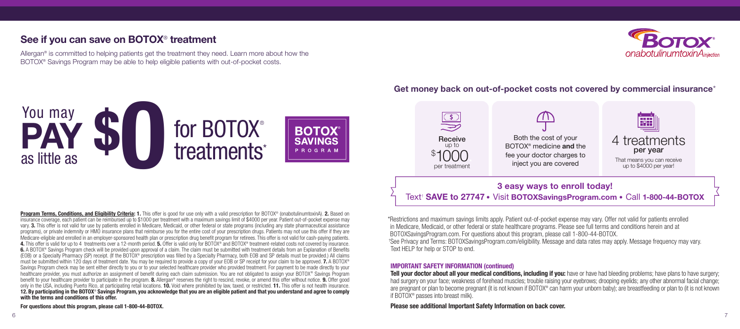# See if you can save on BOTOX® treatment

Allergan® is committed to helping patients get the treatment they need. Learn more about how the BOTOX® Savings Program may be able to help eligible patients with out-of-pocket costs.

## **PAY \$0** You may for BOTOX® **BOTOX Receive SAVINGS** treatments\* up to PROGRAM \$ as little as per treatment

\*Restrictions and maximum savings limits apply. Patient out-of-pocket expense may vary. Offer not valid for patients enrolled in Medicare, Medicaid, or other federal or state healthcare programs. Please see full terms and conditions herein and at BOTOXSavingsProgram.com. For questions about this program, please call 1-800-44-BOTOX. † See Privacy and Terms: BOTOXSavingsProgram.com/eligibility. Message and data rates may apply. Message frequency may vary. Text HELP for help or STOP to end.

Tell your doctor about all your medical conditions, including if you: have or have had bleeding problems; have plans to have surgery; had surgery on your face; weakness of forehead muscles; trouble raising your eyebrows; drooping eyelids; any other abnormal facial change; are pregnant or plan to become pregnant (it is not known if BOTOX® can harm your unborn baby); are breastfeeding or plan to (it is not known if BOTOX® passes into breast milk).

## IMPORTANT SAFETY INFORMATION (continued)

Please see additional Important Safety Information on back cover.



# Get money back on out-of-pocket costs not covered by commercial insurance\*

Program Terms, Conditions, and Eligibility Criteria: 1. This offer is good for use only with a valid prescription for BOTOX® (onabotulinumtoxinA). 2. Based on insurance coverage, each patient can be reimbursed up to \$1000 per treatment with a maximum savings limit of \$4000 per year. Patient out-of-pocket expense may vary. 3. This offer is not valid for use by patients enrolled in Medicare, Medicaid, or other federal or state programs (including any state pharmaceutical assistance programs), or private indemnity or HMO insurance plans that reimburse you for the entire cost of your prescription drugs. Patients may not use this offer if they are Medicare-eligible and enrolled in an employer-sponsored health plan or prescription drug benefit program for retirees. This offer is not valid for cash-paying patients. 4. This offer is valid for up to 4 treatments over a 12-month period. 5. Offer is valid only for BOTOX® and BOTOX® treatment-related costs not covered by insurance. 6. A BOTOX<sup>®</sup> Savings Program check will be provided upon approval of a claim. The claim must be submitted with treatment details from an Explanation of Benefits (EOB) or a Specialty Pharmacy (SP) receipt. (If the BOTOX® prescription was filled by a Specialty Pharmacy, both EOB and SP details must be provided.) All claims must be submitted within 120 days of treatment date. You may be required to provide a copy of your EOB or SP receipt for your claim to be approved. **7.** A BOTOX<sup>®</sup> Savings Program check may be sent either directly to you or to your selected healthcare provider who provided treatment. For payment to be made directly to your healthcare provider, you must authorize an assignment of benefit during each claim submission. You are not obligated to assign your BOTOX® Savings Program benefit to your healthcare provider to participate in the program. **8.** Allergan<sup>®</sup> reserves the right to rescind, revoke, or amend this offer without notice. **9.** Offer good only in the USA, including Puerto Rico, at participating retail locations. **10.** Void where prohibited by law, taxed, or restricted. 11. This offer is not health insurance. 12. By participating in the BOTOX® Savings Program, you acknowledge that you are an eligible patient and that you understand and agree to comply with the terms and conditions of this offer.

For questions about this program, please call 1-800-44-BOTOX.

# 3 easy ways to enroll today! Text† SAVE to 27747 • Visit BOTOXSavingsProgram.com • Call 1-800-44-BOTOX

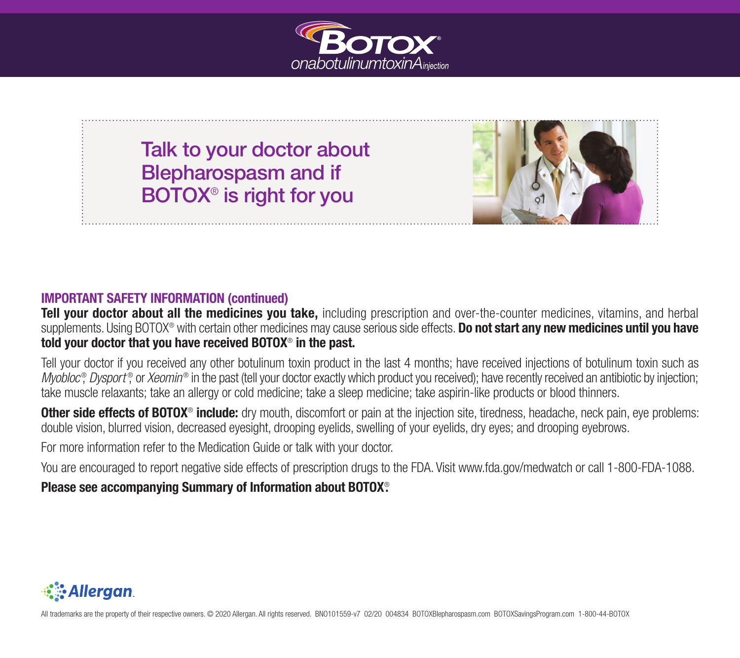

# Talk to your doctor about Blepharospasm and if BOTOX® is right for you



## IMPORTANT SAFETY INFORMATION (continued)

Tell your doctor about all the medicines you take, including prescription and over-the-counter medicines, vitamins, and herbal supplements. Using BOTOX<sup>®</sup> with certain other medicines may cause serious side effects. **Do not start any new medicines until you have** told your doctor that you have received BOTOX® in the past.

Tell your doctor if you received any other botulinum toxin product in the last 4 months; have received injections of botulinum toxin such as Myobloc<sup>®</sup>, Dysport<sup>®</sup>, or *Xeomin®* in the past (tell your doctor exactly which product you received); have recently received an antibiotic by injection; take muscle relaxants; take an allergy or cold medicine; take a sleep medicine; take aspirin-like products or blood thinners.

Other side effects of BOTOX<sup>®</sup> include: dry mouth, discomfort or pain at the injection site, tiredness, headache, neck pain, eye problems: double vision, blurred vision, decreased eyesight, drooping eyelids, swelling of your eyelids, dry eyes; and drooping eyebrows.

For more information refer to the Medication Guide or talk with your doctor.

You are encouraged to report negative side effects of prescription drugs to the FDA. Visit www.fda.gov/medwatch or call 1-800-FDA-1088.

## Please see accompanying Summary of Information about BOTOX® .



All trademarks are the property of their respective owners. © 2020 Allergan. All rights reserved. BNO101559-v7 02/20 004834 BOTOXBlepharospasm.com BOTOXSavingsProgram.com 1-800-44-BOTOX